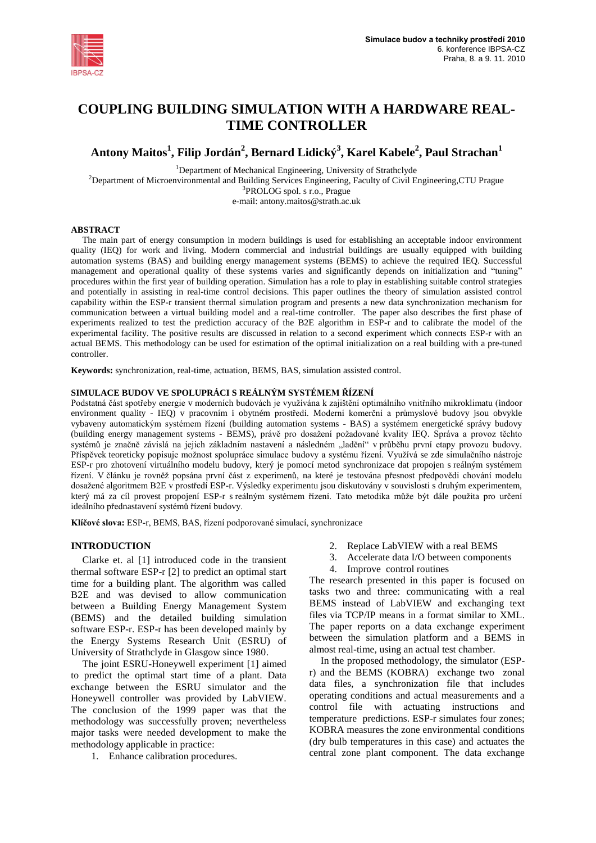

# **COUPLING BUILDING SIMULATION WITH A HARDWARE REAL-TIME CONTROLLER**

**Antony Maitos<sup>1</sup> , Filip Jordán 2 , Bernard Lidický<sup>3</sup> , Karel Kabele<sup>2</sup> , Paul Strachan<sup>1</sup>**

<sup>1</sup>Department of Mechanical Engineering, University of Strathclyde <sup>2</sup>Department of Microenvironmental and Building Services Engineering, Faculty of Civil Engineering,CTU Prague <sup>3</sup>PROLOG spol. s r.o., Prague e-mail: antony.maitos@strath.ac.uk

#### **ABSTRACT**

The main part of energy consumption in modern buildings is used for establishing an acceptable indoor environment quality (IEQ) for work and living. Modern commercial and industrial buildings are usually equipped with building automation systems (BAS) and building energy management systems (BEMS) to achieve the required IEQ. Successful management and operational quality of these systems varies and significantly depends on initialization and "tuning" procedures within the first year of building operation. Simulation has a role to play in establishing suitable control strategies and potentially in assisting in real-time control decisions. This paper outlines the theory of simulation assisted control capability within the ESP-r transient thermal simulation program and presents a new data synchronization mechanism for communication between a virtual building model and a real-time controller. The paper also describes the first phase of experiments realized to test the prediction accuracy of the B2E algorithm in ESP-r and to calibrate the model of the experimental facility. The positive results are discussed in relation to a second experiment which connects ESP-r with an actual BEMS. This methodology can be used for estimation of the optimal initialization on a real building with a pre-tuned controller.

**Keywords:** synchronization, real-time, actuation, BEMS, BAS, simulation assisted control.

## **SIMULACE BUDOV VE SPOLUPRÁCI S REÁLNÝM SYSTÉMEM ŘÍZENÍ**

Podstatná část spotřeby energie v moderních budovách je využívána k zajištění optimálního vnitřního mikroklimatu (indoor environment quality - IEQ) v pracovním i obytném prostředí. Moderní komerční a průmyslové budovy jsou obvykle vybaveny automatickým systémem řízení (building automation systems - BAS) a systémem energetické správy budovy (building energy management systems - BEMS), právě pro dosažení požadované kvality IEQ. Správa a provoz těchto systémů je značně závislá na jejich základním nastavení a následném "ladění" v průběhu první etapy provozu budovy. Příspěvek teoreticky popisuje možnost spolupráce simulace budovy a systému řízení. Využívá se zde simulačního nástroje ESP-r pro zhotovení virtuálního modelu budovy, který je pomocí metod synchronizace dat propojen s reálným systémem řízení. V článku je rovněž popsána první část z experimenů, na které je testována přesnost předpovědi chování modelu dosažené algoritmem B2E v prostředí ESP-r. Výsledky experimentu jsou diskutovány v souvislosti s druhým experimentem, který má za cíl provest propojení ESP-r s reálným systémem řízení. Tato metodika může být dále použita pro určení ideálního přednastavení systémů řízení budovy.

**Klíčové slova:** ESP-r, BEMS, BAS, řízení podporované simulací, synchronizace

## **INTRODUCTION**

Clarke et. al [1] introduced code in the transient thermal software ESP-r [2] to predict an optimal start time for a building plant. The algorithm was called B2E and was devised to allow communication between a Building Energy Management System (BEMS) and the detailed building simulation software ESP-r. ESP-r has been developed mainly by the Energy Systems Research Unit (ESRU) of University of Strathclyde in Glasgow since 1980.

The joint ESRU-Honeywell experiment [1] aimed to predict the optimal start time of a plant. Data exchange between the ESRU simulator and the Honeywell controller was provided by LabVIEW. The conclusion of the 1999 paper was that the methodology was successfully proven; nevertheless major tasks were needed development to make the methodology applicable in practice:

1. Enhance calibration procedures.

- 2. Replace LabVIEW with a real BEMS
- 3. Accelerate data I/O between components
- 4. Improve control routines

The research presented in this paper is focused on tasks two and three: communicating with a real BEMS instead of LabVIEW and exchanging text files via TCP/IP means in a format similar to XML. The paper reports on a data exchange experiment between the simulation platform and a BEMS in almost real-time, using an actual test chamber.

In the proposed methodology, the simulator (ESPr) and the BEMS (KOBRA) exchange two zonal data files, a synchronization file that includes operating conditions and actual measurements and a control file with actuating instructions and temperature predictions. ESP-r simulates four zones; KOBRA measures the zone environmental conditions (dry bulb temperatures in this case) and actuates the central zone plant component. The data exchange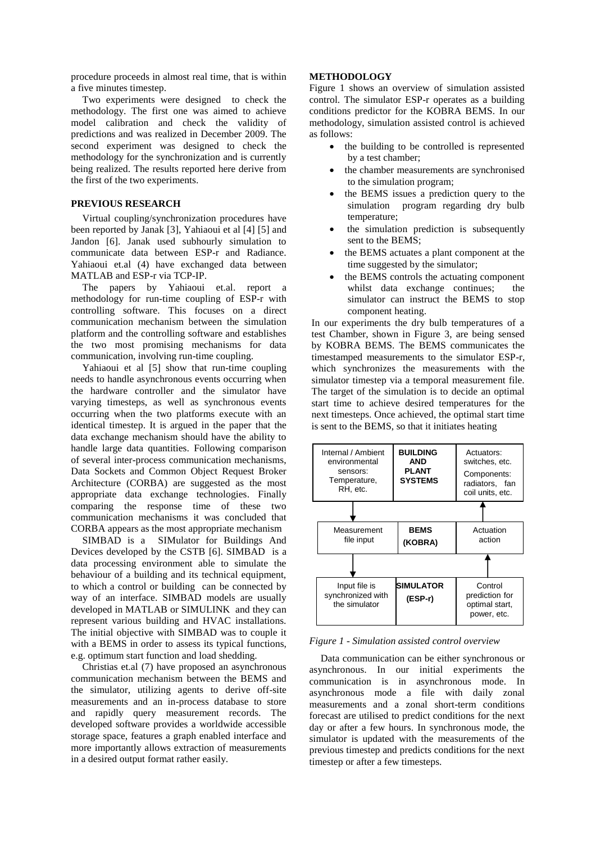procedure proceeds in almost real time, that is within a five minutes timestep.

Two experiments were designed to check the methodology. The first one was aimed to achieve model calibration and check the validity of predictions and was realized in December 2009. The second experiment was designed to check the methodology for the synchronization and is currently being realized. The results reported here derive from the first of the two experiments.

## **PREVIOUS RESEARCH**

Virtual coupling/synchronization procedures have been reported by Janak [3], Yahiaoui et al [4] [5] and Jandon [6]. Janak used subhourly simulation to communicate data between ESP-r and Radiance. Yahiaoui et.al (4) have exchanged data between MATLAB and ESP-r via TCP-IP.

The papers by Yahiaoui et.al. report a methodology for run-time coupling of ESP-r with controlling software. This focuses on a direct communication mechanism between the simulation platform and the controlling software and establishes the two most promising mechanisms for data communication, involving run-time coupling.

Yahiaoui et al [5] show that run-time coupling needs to handle asynchronous events occurring when the hardware controller and the simulator have varying timesteps, as well as synchronous events occurring when the two platforms execute with an identical timestep. It is argued in the paper that the data exchange mechanism should have the ability to handle large data quantities. Following comparison of several inter-process communication mechanisms, Data Sockets and Common Object Request Broker Architecture (CORBA) are suggested as the most appropriate data exchange technologies. Finally comparing the response time of these two communication mechanisms it was concluded that CORBA appears as the most appropriate mechanism

SIMBAD is a SIMulator for Buildings And Devices developed by the CSTB [6]. SIMBAD is a data processing environment able to simulate the behaviour of a building and its technical equipment, to which a control or building can be connected by way of an interface. SIMBAD models are usually developed in MATLAB or SIMULINK and they can represent various building and HVAC installations. The initial objective with SIMBAD was to couple it with a BEMS in order to assess its typical functions, e.g. optimum start function and load shedding.

Christias et.al (7) have proposed an asynchronous communication mechanism between the BEMS and the simulator, utilizing agents to derive off-site measurements and an in-process database to store and rapidly query measurement records. The developed software provides a worldwide accessible storage space, features a graph enabled interface and more importantly allows extraction of measurements in a desired output format rather easily.

## **METHODOLOGY**

Figure 1 shows an overview of simulation assisted control. The simulator ESP-r operates as a building conditions predictor for the KOBRA BEMS. In our methodology, simulation assisted control is achieved as follows:

- the building to be controlled is represented by a test chamber;
- the chamber measurements are synchronised to the simulation program;
- the BEMS issues a prediction query to the simulation program regarding dry bulb temperature;
- the simulation prediction is subsequently sent to the BEMS;
- the BEMS actuates a plant component at the time suggested by the simulator;
- the BEMS controls the actuating component whilst data exchange continues; the simulator can instruct the BEMS to stop component heating.

In our experiments the dry bulb temperatures of a test Chamber, shown in Figure 3, are being sensed by KOBRA BEMS. The BEMS communicates the timestamped measurements to the simulator ESP-r, which synchronizes the measurements with the simulator timestep via a temporal measurement file. The target of the simulation is to decide an optimal start time to achieve desired temperatures for the next timesteps. Once achieved, the optimal start time is sent to the BEMS, so that it initiates heating



*Figure 1 - Simulation assisted control overview*

Data communication can be either synchronous or asynchronous. In our initial experiments the communication is in asynchronous mode. In asynchronous mode a file with daily zonal measurements and a zonal short-term conditions forecast are utilised to predict conditions for the next day or after a few hours. In synchronous mode, the simulator is updated with the measurements of the previous timestep and predicts conditions for the next timestep or after a few timesteps.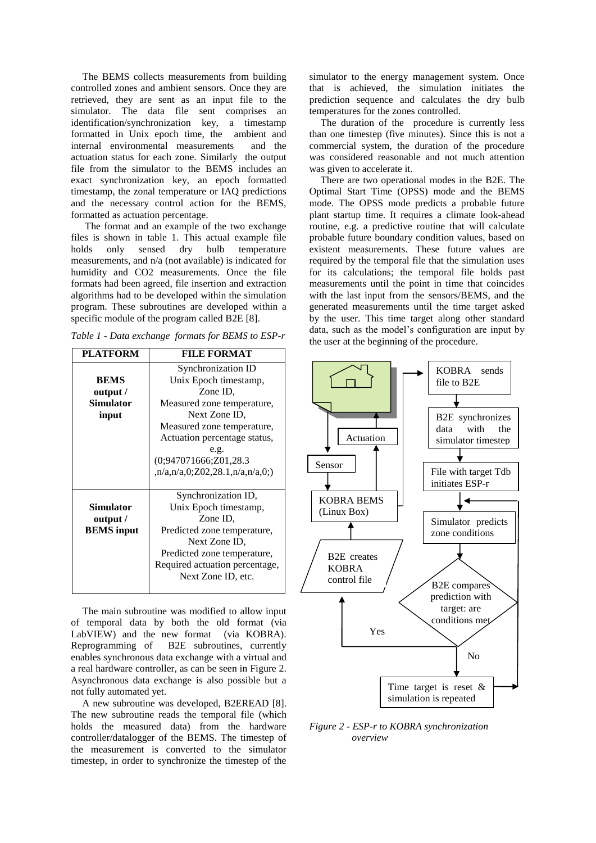The BEMS collects measurements from building controlled zones and ambient sensors. Once they are retrieved, they are sent as an input file to the simulator. The data file sent comprises an identification/synchronization key, a timestamp formatted in Unix epoch time, the ambient and internal environmental measurements and the actuation status for each zone. Similarly the output file from the simulator to the BEMS includes an exact synchronization key, an epoch formatted timestamp, the zonal temperature or IAQ predictions and the necessary control action for the BEMS, formatted as actuation percentage.

The format and an example of the two exchange files is shown in table 1. This actual example file holds only sensed dry bulb temperature measurements, and n/a (not available) is indicated for humidity and CO2 measurements. Once the file formats had been agreed, file insertion and extraction algorithms had to be developed within the simulation program. These subroutines are developed within a specific module of the program called B2E [8].

*Table 1 - Data exchange formats for BEMS to ESP-r*

| <b>PLATFORM</b>   | <b>FILE FORMAT</b>                   |
|-------------------|--------------------------------------|
|                   | Synchronization ID                   |
| <b>BEMS</b>       | Unix Epoch timestamp,                |
| output /          | Zone ID,                             |
| <b>Simulator</b>  | Measured zone temperature,           |
| input             | Next Zone ID,                        |
|                   | Measured zone temperature,           |
|                   | Actuation percentage status,         |
|                   | e.g.                                 |
|                   | (0;947071666;Z01,28.3)               |
|                   | n/a, n/a, 0; Z02, 28.1, n/a, n/a, 0; |
|                   |                                      |
|                   | Synchronization ID,                  |
| <b>Simulator</b>  | Unix Epoch timestamp,                |
| output /          | Zone ID,                             |
| <b>BEMS</b> input | Predicted zone temperature,          |
|                   | Next Zone ID,                        |
|                   | Predicted zone temperature,          |
|                   | Required actuation percentage,       |
|                   | Next Zone ID, etc.                   |
|                   |                                      |

The main subroutine was modified to allow input of temporal data by both the old format (via LabVIEW) and the new format (via KOBRA). Reprogramming of B2E subroutines, currently enables synchronous data exchange with a virtual and a real hardware controller, as can be seen in Figure 2. Asynchronous data exchange is also possible but a not fully automated yet.

A new subroutine was developed, B2EREAD [8]. The new subroutine reads the temporal file (which holds the measured data) from the hardware controller/datalogger of the BEMS. The timestep of the measurement is converted to the simulator timestep, in order to synchronize the timestep of the

simulator to the energy management system. Once that is achieved, the simulation initiates the prediction sequence and calculates the dry bulb temperatures for the zones controlled.

The duration of the procedure is currently less than one timestep (five minutes). Since this is not a commercial system, the duration of the procedure was considered reasonable and not much attention was given to accelerate it.

There are two operational modes in the B2E. The Optimal Start Time (OPSS) mode and the BEMS mode. The OPSS mode predicts a probable future plant startup time. It requires a climate look-ahead routine, e.g. a predictive routine that will calculate probable future boundary condition values, based on existent measurements. These future values are required by the temporal file that the simulation uses for its calculations; the temporal file holds past measurements until the point in time that coincides with the last input from the sensors/BEMS, and the generated measurements until the time target asked by the user. This time target along other standard data, such as the model"s configuration are input by the user at the beginning of the procedure.



*Figure 2 - ESP-r to KOBRA synchronization overview*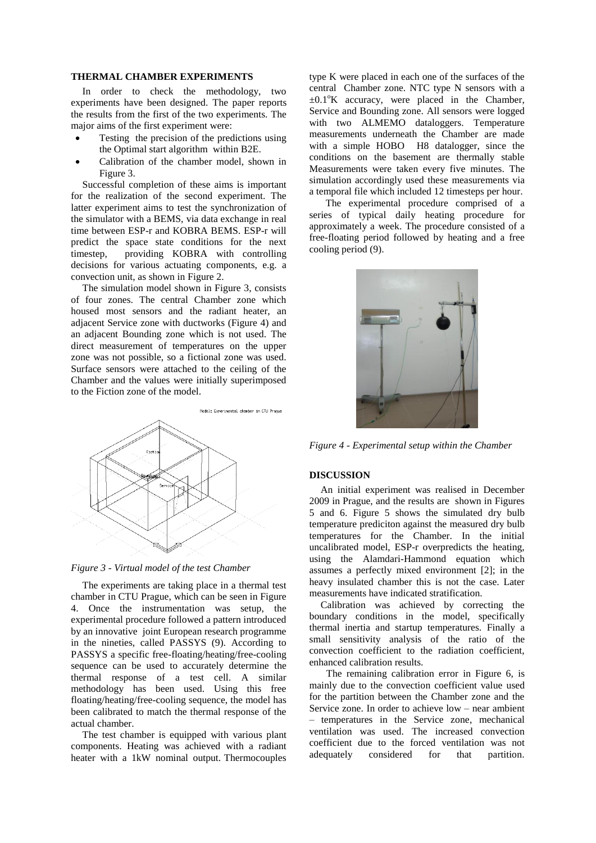## **THERMAL CHAMBER EXPERIMENTS**

In order to check the methodology, two experiments have been designed. The paper reports the results from the first of the two experiments. The major aims of the first experiment were:

- Testing the precision of the predictions using the Optimal start algorithm within B2E.
- Calibration of the chamber model, shown in Figure 3.

Successful completion of these aims is important for the realization of the second experiment. The latter experiment aims to test the synchronization of the simulator with a BEMS, via data exchange in real time between ESP-r and KOBRA BEMS. ESP-r will predict the space state conditions for the next timestep, providing KOBRA with controlling decisions for various actuating components, e.g. a convection unit, as shown in Figure 2.

The simulation model shown in Figure 3, consists of four zones. The central Chamber zone which housed most sensors and the radiant heater, an adjacent Service zone with ductworks (Figure 4) and an adjacent Bounding zone which is not used. The direct measurement of temperatures on the upper zone was not possible, so a fictional zone was used. Surface sensors were attached to the ceiling of the Chamber and the values were initially superimposed to the Fiction zone of the model.

.<br>Model: Experimental chamber in CTU Prague





The experiments are taking place in a thermal test chamber in CTU Prague, which can be seen in Figure 4. Once the instrumentation was setup, the experimental procedure followed a pattern introduced by an innovative joint European research programme in the nineties, called PASSYS (9). According to PASSYS a specific free-floating/heating/free-cooling sequence can be used to accurately determine the thermal response of a test cell. A similar methodology has been used. Using this free floating/heating/free-cooling sequence, the model has been calibrated to match the thermal response of the actual chamber.

The test chamber is equipped with various plant components. Heating was achieved with a radiant heater with a 1kW nominal output. Thermocouples

type K were placed in each one of the surfaces of the central Chamber zone. NTC type N sensors with a  $\pm 0.1^\circ K$  accuracy, were placed in the Chamber, Service and Bounding zone. All sensors were logged with two ALMEMO dataloggers. Temperature measurements underneath the Chamber are made with a simple HOBO H8 datalogger, since the conditions on the basement are thermally stable Measurements were taken every five minutes. The simulation accordingly used these measurements via a temporal file which included 12 timesteps per hour.

 The experimental procedure comprised of a series of typical daily heating procedure for approximately a week. The procedure consisted of a free-floating period followed by heating and a free cooling period (9).



*Figure 4 - Experimental setup within the Chamber*

#### **DISCUSSION**

An initial experiment was realised in December 2009 in Prague, and the results are shown in Figures 5 and 6. Figure 5 shows the simulated dry bulb temperature prediciton against the measured dry bulb temperatures for the Chamber. In the initial uncalibrated model, ESP-r overpredicts the heating, using the Alamdari-Hammond equation which assumes a perfectly mixed environment [2]; in the heavy insulated chamber this is not the case. Later measurements have indicated stratification.

Calibration was achieved by correcting the boundary conditions in the model, specifically thermal inertia and startup temperatures. Finally a small sensitivity analysis of the ratio of the convection coefficient to the radiation coefficient, enhanced calibration results.

The remaining calibration error in Figure 6, is mainly due to the convection coefficient value used for the partition between the Chamber zone and the Service zone. In order to achieve low – near ambient – temperatures in the Service zone, mechanical ventilation was used. The increased convection coefficient due to the forced ventilation was not adequately considered for that partition.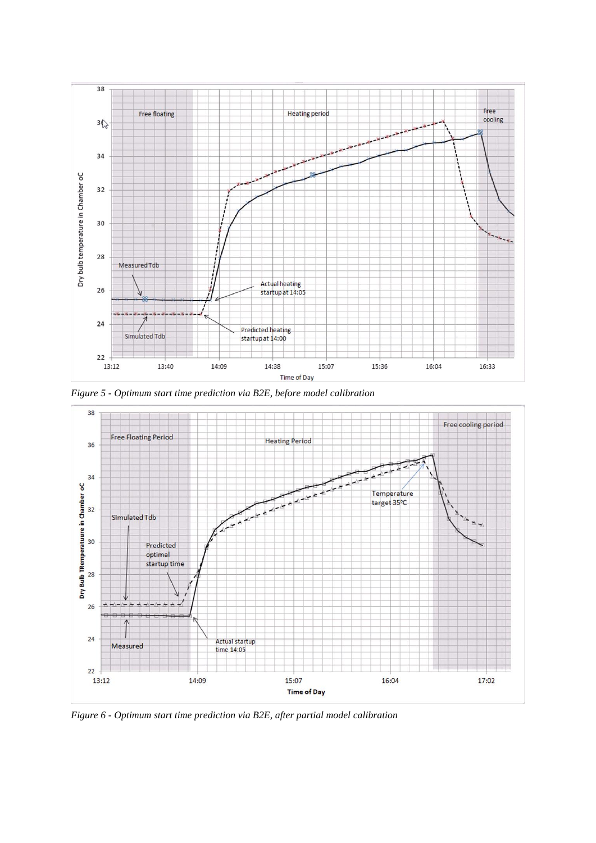

*Figure 5 - Optimum start time prediction via B2E, before model calibration*



*Figure 6 - Optimum start time prediction via B2E, after partial model calibration*